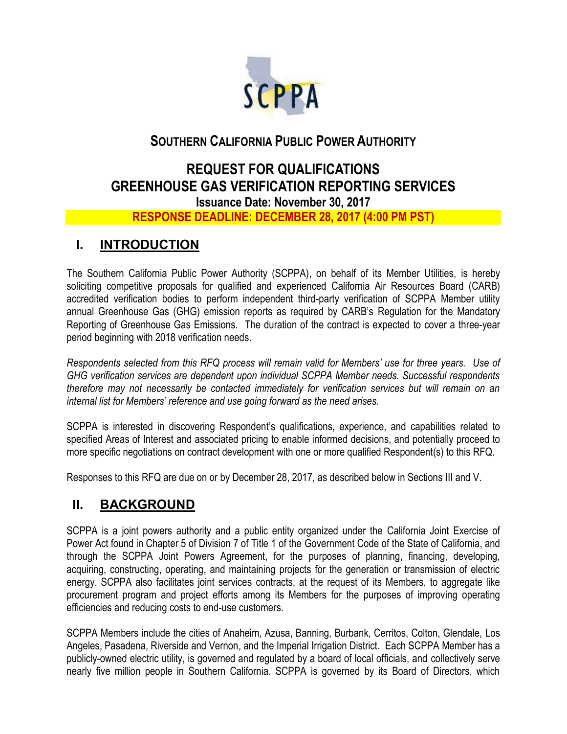

## **SOUTHERN CALIFORNIA PUBLIC POWER AUTHORITY**

# **REQUEST FOR QUALIFICATIONS GREENHOUSE GAS VERIFICATION REPORTING SERVICES Issuance Date: November 30, 2017**

### **RESPONSE DEADLINE: DECEMBER 28, 2017 (4:00 PM PST)**

## **I. INTRODUCTION**

The Southern California Public Power Authority (SCPPA), on behalf of its Member Utilities, is hereby soliciting competitive proposals for qualified and experienced California Air Resources Board (CARB) accredited verification bodies to perform independent third-party verification of SCPPA Member utility annual Greenhouse Gas (GHG) emission reports as required by CARB's Regulation for the Mandatory Reporting of Greenhouse Gas Emissions. The duration of the contract is expected to cover a three-year period beginning with 2018 verification needs.

*Respondents selected from this RFQ process will remain valid for Members' use for three years. Use of GHG verification services are dependent upon individual SCPPA Member needs. Successful respondents therefore may not necessarily be contacted immediately for verification services but will remain on an internal list for Members' reference and use going forward as the need arises.* 

SCPPA is interested in discovering Respondent's qualifications, experience, and capabilities related to specified Areas of Interest and associated pricing to enable informed decisions, and potentially proceed to more specific negotiations on contract development with one or more qualified Respondent(s) to this RFQ.

Responses to this RFQ are due on or by December 28, 2017, as described below in Sections III and V.

## **II. BACKGROUND**

SCPPA is a joint powers authority and a public entity organized under the California Joint Exercise of Power Act found in Chapter 5 of Division 7 of Title 1 of the Government Code of the State of California, and through the SCPPA Joint Powers Agreement, for the purposes of planning, financing, developing, acquiring, constructing, operating, and maintaining projects for the generation or transmission of electric energy. SCPPA also facilitates joint services contracts, at the request of its Members, to aggregate like procurement program and project efforts among its Members for the purposes of improving operating efficiencies and reducing costs to end-use customers.

SCPPA Members include the cities of Anaheim, Azusa, Banning, Burbank, Cerritos, Colton, Glendale, Los Angeles, Pasadena, Riverside and Vernon, and the Imperial Irrigation District. Each SCPPA Member has a publicly-owned electric utility, is governed and regulated by a board of local officials, and collectively serve nearly five million people in Southern California. SCPPA is governed by its Board of Directors, which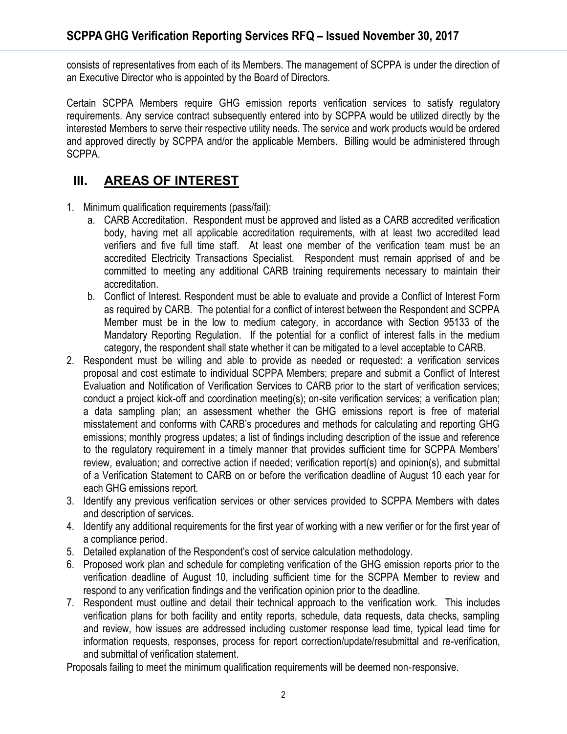consists of representatives from each of its Members. The management of SCPPA is under the direction of an Executive Director who is appointed by the Board of Directors.

Certain SCPPA Members require GHG emission reports verification services to satisfy regulatory requirements. Any service contract subsequently entered into by SCPPA would be utilized directly by the interested Members to serve their respective utility needs. The service and work products would be ordered and approved directly by SCPPA and/or the applicable Members. Billing would be administered through SCPPA.

## **III. AREAS OF INTEREST**

- 1. Minimum qualification requirements (pass/fail):
	- a. CARB Accreditation. Respondent must be approved and listed as a CARB accredited verification body, having met all applicable accreditation requirements, with at least two accredited lead verifiers and five full time staff. At least one member of the verification team must be an accredited Electricity Transactions Specialist. Respondent must remain apprised of and be committed to meeting any additional CARB training requirements necessary to maintain their accreditation.
	- b. Conflict of Interest. Respondent must be able to evaluate and provide a Conflict of Interest Form as required by CARB. The potential for a conflict of interest between the Respondent and SCPPA Member must be in the low to medium category, in accordance with Section 95133 of the Mandatory Reporting Regulation. If the potential for a conflict of interest falls in the medium category, the respondent shall state whether it can be mitigated to a level acceptable to CARB.
- 2. Respondent must be willing and able to provide as needed or requested: a verification services proposal and cost estimate to individual SCPPA Members; prepare and submit a Conflict of Interest Evaluation and Notification of Verification Services to CARB prior to the start of verification services; conduct a project kick-off and coordination meeting(s); on-site verification services; a verification plan; a data sampling plan; an assessment whether the GHG emissions report is free of material misstatement and conforms with CARB's procedures and methods for calculating and reporting GHG emissions; monthly progress updates; a list of findings including description of the issue and reference to the regulatory requirement in a timely manner that provides sufficient time for SCPPA Members' review, evaluation; and corrective action if needed; verification report(s) and opinion(s), and submittal of a Verification Statement to CARB on or before the verification deadline of August 10 each year for each GHG emissions report.
- 3. Identify any previous verification services or other services provided to SCPPA Members with dates and description of services.
- 4. Identify any additional requirements for the first year of working with a new verifier or for the first year of a compliance period.
- 5. Detailed explanation of the Respondent's cost of service calculation methodology.
- 6. Proposed work plan and schedule for completing verification of the GHG emission reports prior to the verification deadline of August 10, including sufficient time for the SCPPA Member to review and respond to any verification findings and the verification opinion prior to the deadline.
- 7. Respondent must outline and detail their technical approach to the verification work. This includes verification plans for both facility and entity reports, schedule, data requests, data checks, sampling and review, how issues are addressed including customer response lead time, typical lead time for information requests, responses, process for report correction/update/resubmittal and re-verification, and submittal of verification statement.

Proposals failing to meet the minimum qualification requirements will be deemed non‐responsive.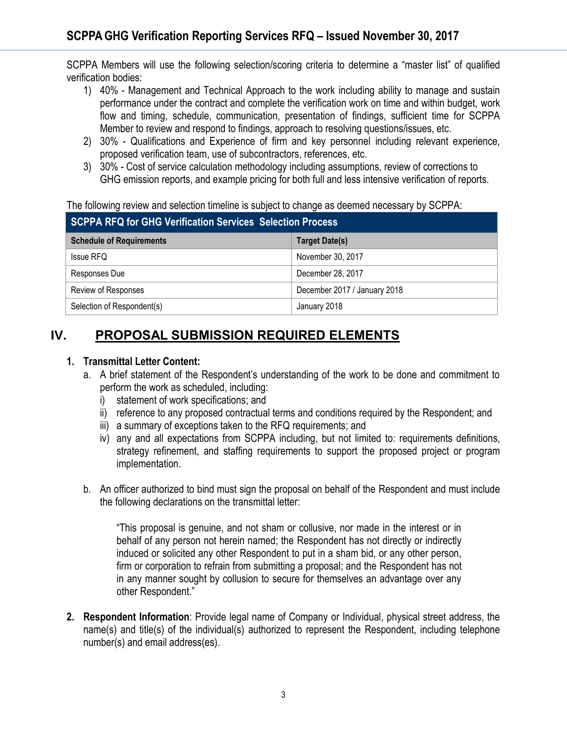SCPPA Members will use the following selection/scoring criteria to determine a "master list" of qualified verification bodies:

- 1) 40% Management and Technical Approach to the work including ability to manage and sustain performance under the contract and complete the verification work on time and within budget, work flow and timing, schedule, communication, presentation of findings, sufficient time for SCPPA Member to review and respond to findings, approach to resolving questions/issues, etc.
- 2) 30% Qualifications and Experience of firm and key personnel including relevant experience, proposed verification team, use of subcontractors, references, etc.
- 3) 30% Cost of service calculation methodology including assumptions, review of corrections to GHG emission reports, and example pricing for both full and less intensive verification of reports.

#### The following review and selection timeline is subject to change as deemed necessary by SCPPA:

| SCPPA RFQ for GHG Verification Services Selection Process |                              |
|-----------------------------------------------------------|------------------------------|
| <b>Schedule of Requirements</b>                           | Target Date(s)               |
| <b>Issue RFQ</b>                                          | November 30, 2017            |
| Responses Due                                             | December 28, 2017            |
| Review of Responses                                       | December 2017 / January 2018 |
| Selection of Respondent(s)                                | January 2018                 |

# **IV. PROPOSAL SUBMISSION REQUIRED ELEMENTS**

### **1. Transmittal Letter Content:**

- a. A brief statement of the Respondent's understanding of the work to be done and commitment to perform the work as scheduled, including:
	- i) statement of work specifications; and
	- ii) reference to any proposed contractual terms and conditions required by the Respondent; and
	- iii) a summary of exceptions taken to the RFQ requirements; and
	- iv) any and all expectations from SCPPA including, but not limited to: requirements definitions, strategy refinement, and staffing requirements to support the proposed project or program implementation.
- b. An officer authorized to bind must sign the proposal on behalf of the Respondent and must include the following declarations on the transmittal letter:

"This proposal is genuine, and not sham or collusive, nor made in the interest or in behalf of any person not herein named; the Respondent has not directly or indirectly induced or solicited any other Respondent to put in a sham bid, or any other person, firm or corporation to refrain from submitting a proposal; and the Respondent has not in any manner sought by collusion to secure for themselves an advantage over any other Respondent."

**2. Respondent Information**: Provide legal name of Company or Individual, physical street address, the name(s) and title(s) of the individual(s) authorized to represent the Respondent, including telephone number(s) and email address(es).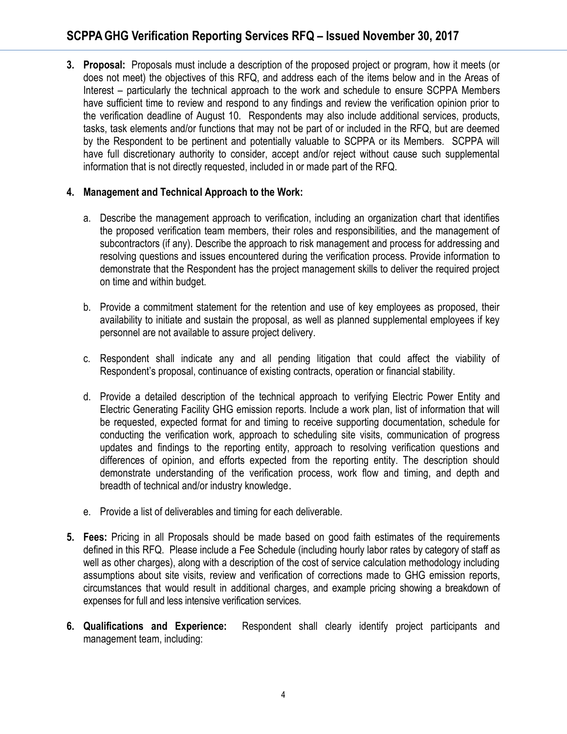**3. Proposal:** Proposals must include a description of the proposed project or program, how it meets (or does not meet) the objectives of this RFQ, and address each of the items below and in the Areas of Interest – particularly the technical approach to the work and schedule to ensure SCPPA Members have sufficient time to review and respond to any findings and review the verification opinion prior to the verification deadline of August 10. Respondents may also include additional services, products, tasks, task elements and/or functions that may not be part of or included in the RFQ, but are deemed by the Respondent to be pertinent and potentially valuable to SCPPA or its Members. SCPPA will have full discretionary authority to consider, accept and/or reject without cause such supplemental information that is not directly requested, included in or made part of the RFQ.

#### **4. Management and Technical Approach to the Work:**

- a. Describe the management approach to verification, including an organization chart that identifies the proposed verification team members, their roles and responsibilities, and the management of subcontractors (if any). Describe the approach to risk management and process for addressing and resolving questions and issues encountered during the verification process. Provide information to demonstrate that the Respondent has the project management skills to deliver the required project on time and within budget.
- b. Provide a commitment statement for the retention and use of key employees as proposed, their availability to initiate and sustain the proposal, as well as planned supplemental employees if key personnel are not available to assure project delivery.
- c. Respondent shall indicate any and all pending litigation that could affect the viability of Respondent's proposal, continuance of existing contracts, operation or financial stability.
- d. Provide a detailed description of the technical approach to verifying Electric Power Entity and Electric Generating Facility GHG emission reports. Include a work plan, list of information that will be requested, expected format for and timing to receive supporting documentation, schedule for conducting the verification work, approach to scheduling site visits, communication of progress updates and findings to the reporting entity, approach to resolving verification questions and differences of opinion, and efforts expected from the reporting entity. The description should demonstrate understanding of the verification process, work flow and timing, and depth and breadth of technical and/or industry knowledge.
- e. Provide a list of deliverables and timing for each deliverable.
- **5. Fees:** Pricing in all Proposals should be made based on good faith estimates of the requirements defined in this RFQ. Please include a Fee Schedule (including hourly labor rates by category of staff as well as other charges), along with a description of the cost of service calculation methodology including assumptions about site visits, review and verification of corrections made to GHG emission reports, circumstances that would result in additional charges, and example pricing showing a breakdown of expenses for full and less intensive verification services.
- **6. Qualifications and Experience:** Respondent shall clearly identify project participants and management team, including: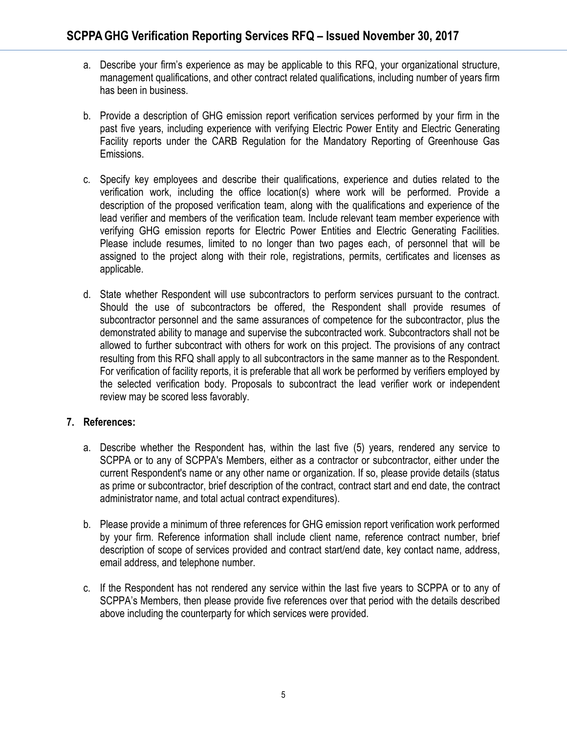- a. Describe your firm's experience as may be applicable to this RFQ, your organizational structure, management qualifications, and other contract related qualifications, including number of years firm has been in business.
- b. Provide a description of GHG emission report verification services performed by your firm in the past five years, including experience with verifying Electric Power Entity and Electric Generating Facility reports under the CARB Regulation for the Mandatory Reporting of Greenhouse Gas Emissions.
- c. Specify key employees and describe their qualifications, experience and duties related to the verification work, including the office location(s) where work will be performed. Provide a description of the proposed verification team, along with the qualifications and experience of the lead verifier and members of the verification team. Include relevant team member experience with verifying GHG emission reports for Electric Power Entities and Electric Generating Facilities. Please include resumes, limited to no longer than two pages each, of personnel that will be assigned to the project along with their role, registrations, permits, certificates and licenses as applicable.
- d. State whether Respondent will use subcontractors to perform services pursuant to the contract. Should the use of subcontractors be offered, the Respondent shall provide resumes of subcontractor personnel and the same assurances of competence for the subcontractor, plus the demonstrated ability to manage and supervise the subcontracted work. Subcontractors shall not be allowed to further subcontract with others for work on this project. The provisions of any contract resulting from this RFQ shall apply to all subcontractors in the same manner as to the Respondent. For verification of facility reports, it is preferable that all work be performed by verifiers employed by the selected verification body. Proposals to subcontract the lead verifier work or independent review may be scored less favorably.

#### **7. References:**

- a. Describe whether the Respondent has, within the last five (5) years, rendered any service to SCPPA or to any of SCPPA's Members, either as a contractor or subcontractor, either under the current Respondent's name or any other name or organization. If so, please provide details (status as prime or subcontractor, brief description of the contract, contract start and end date, the contract administrator name, and total actual contract expenditures).
- b. Please provide a minimum of three references for GHG emission report verification work performed by your firm. Reference information shall include client name, reference contract number, brief description of scope of services provided and contract start/end date, key contact name, address, email address, and telephone number.
- c. If the Respondent has not rendered any service within the last five years to SCPPA or to any of SCPPA's Members, then please provide five references over that period with the details described above including the counterparty for which services were provided.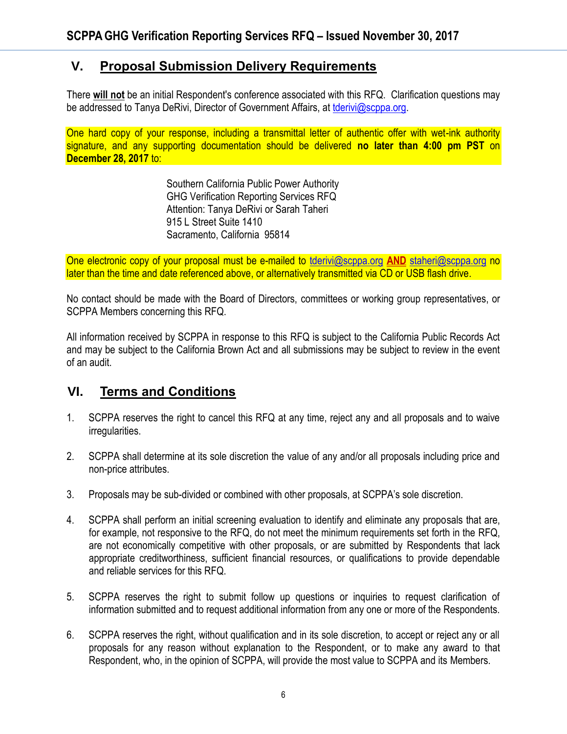## **V. Proposal Submission Delivery Requirements**

There **will not** be an initial Respondent's conference associated with this RFQ. Clarification questions may be addressed to Tanya DeRivi, Director of Government Affairs, at [tderivi@scppa.org.](mailto:tderivi@scppa.org)

One hard copy of your response, including a transmittal letter of authentic offer with wet-ink authority signature, and any supporting documentation should be delivered **no later than 4:00 pm PST** on **December 28, 2017** to:

> Southern California Public Power Authority GHG Verification Reporting Services RFQ Attention: Tanya DeRivi or Sarah Taheri 915 L Street Suite 1410 Sacramento, California 95814

One electronic copy of your proposal must be e-mailed to [tderivi@scppa.org](mailto:tderivi@scppa.org) **AND** [staheri@scppa.org](mailto:staheri@scppa.org) no later than the time and date referenced above, or alternatively transmitted via CD or USB flash drive.

No contact should be made with the Board of Directors, committees or working group representatives, or SCPPA Members concerning this RFQ.

All information received by SCPPA in response to this RFQ is subject to the California Public Records Act and may be subject to the California Brown Act and all submissions may be subject to review in the event of an audit.

### **VI. Terms and Conditions**

- 1. SCPPA reserves the right to cancel this RFQ at any time, reject any and all proposals and to waive irregularities.
- 2. SCPPA shall determine at its sole discretion the value of any and/or all proposals including price and non-price attributes.
- 3. Proposals may be sub-divided or combined with other proposals, at SCPPA's sole discretion.
- 4. SCPPA shall perform an initial screening evaluation to identify and eliminate any proposals that are, for example, not responsive to the RFQ, do not meet the minimum requirements set forth in the RFQ, are not economically competitive with other proposals, or are submitted by Respondents that lack appropriate creditworthiness, sufficient financial resources, or qualifications to provide dependable and reliable services for this RFQ.
- 5. SCPPA reserves the right to submit follow up questions or inquiries to request clarification of information submitted and to request additional information from any one or more of the Respondents.
- 6. SCPPA reserves the right, without qualification and in its sole discretion, to accept or reject any or all proposals for any reason without explanation to the Respondent, or to make any award to that Respondent, who, in the opinion of SCPPA, will provide the most value to SCPPA and its Members.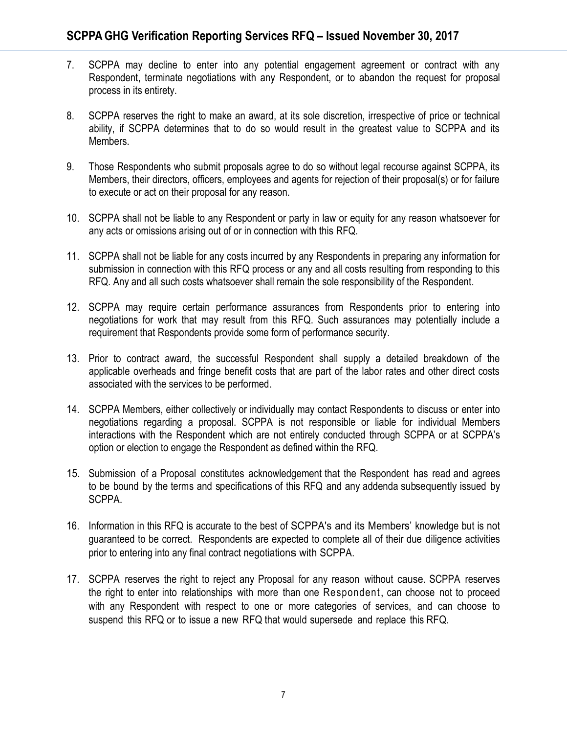- 7. SCPPA may decline to enter into any potential engagement agreement or contract with any Respondent, terminate negotiations with any Respondent, or to abandon the request for proposal process in its entirety.
- 8. SCPPA reserves the right to make an award, at its sole discretion, irrespective of price or technical ability, if SCPPA determines that to do so would result in the greatest value to SCPPA and its Members.
- 9. Those Respondents who submit proposals agree to do so without legal recourse against SCPPA, its Members, their directors, officers, employees and agents for rejection of their proposal(s) or for failure to execute or act on their proposal for any reason.
- 10. SCPPA shall not be liable to any Respondent or party in law or equity for any reason whatsoever for any acts or omissions arising out of or in connection with this RFQ.
- 11. SCPPA shall not be liable for any costs incurred by any Respondents in preparing any information for submission in connection with this RFQ process or any and all costs resulting from responding to this RFQ. Any and all such costs whatsoever shall remain the sole responsibility of the Respondent.
- 12. SCPPA may require certain performance assurances from Respondents prior to entering into negotiations for work that may result from this RFQ. Such assurances may potentially include a requirement that Respondents provide some form of performance security.
- 13. Prior to contract award, the successful Respondent shall supply a detailed breakdown of the applicable overheads and fringe benefit costs that are part of the labor rates and other direct costs associated with the services to be performed.
- 14. SCPPA Members, either collectively or individually may contact Respondents to discuss or enter into negotiations regarding a proposal. SCPPA is not responsible or liable for individual Members interactions with the Respondent which are not entirely conducted through SCPPA or at SCPPA's option or election to engage the Respondent as defined within the RFQ.
- 15. Submission of a Proposal constitutes acknowledgement that the Respondent has read and agrees to be bound by the terms and specifications of this RFQ and any addenda subsequently issued by SCPPA.
- 16. Information in this RFQ is accurate to the best of SCPPA's and its Members' knowledge but is not guaranteed to be correct. Respondents are expected to complete all of their due diligence activities prior to entering into any final contract negotiations with SCPPA.
- 17. SCPPA reserves the right to reject any Proposal for any reason without cause. SCPPA reserves the right to enter into relationships with more than one Respondent, can choose not to proceed with any Respondent with respect to one or more categories of services, and can choose to suspend this RFQ or to issue a new RFQ that would supersede and replace this RFQ.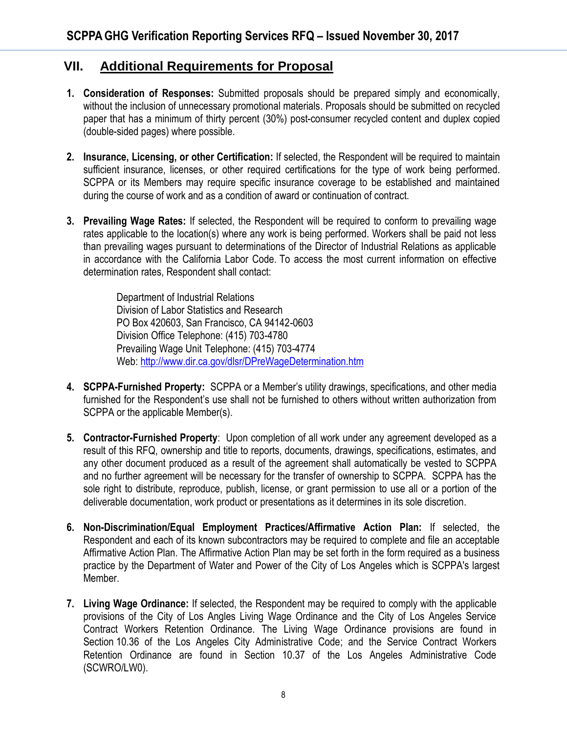## **VII. Additional Requirements for Proposal**

- **1. Consideration of Responses:** Submitted proposals should be prepared simply and economically, without the inclusion of unnecessary promotional materials. Proposals should be submitted on recycled paper that has a minimum of thirty percent (30%) post-consumer recycled content and duplex copied (double-sided pages) where possible.
- **2. Insurance, Licensing, or other Certification:** If selected, the Respondent will be required to maintain sufficient insurance, licenses, or other required certifications for the type of work being performed. SCPPA or its Members may require specific insurance coverage to be established and maintained during the course of work and as a condition of award or continuation of contract.
- **3. Prevailing Wage Rates:** If selected, the Respondent will be required to conform to prevailing wage rates applicable to the location(s) where any work is being performed. Workers shall be paid not less than prevailing wages pursuant to determinations of the Director of Industrial Relations as applicable in accordance with the California Labor Code. To access the most current information on effective determination rates, Respondent shall contact:

Department of Industrial Relations Division of Labor Statistics and Research PO Box 420603, San Francisco, CA 94142-0603 Division Office Telephone: (415) 703-4780 Prevailing Wage Unit Telephone: (415) 703-4774 Web[: http://www.dir.ca.gov/dlsr/DPreWageDetermination.htm](http://www.dir.ca.gov/dlsr/DPreWageDetermination.htm)

- **4. SCPPA-Furnished Property:** SCPPA or a Member's utility drawings, specifications, and other media furnished for the Respondent's use shall not be furnished to others without written authorization from SCPPA or the applicable Member(s).
- **5. Contractor-Furnished Property**: Upon completion of all work under any agreement developed as a result of this RFQ, ownership and title to reports, documents, drawings, specifications, estimates, and any other document produced as a result of the agreement shall automatically be vested to SCPPA and no further agreement will be necessary for the transfer of ownership to SCPPA. SCPPA has the sole right to distribute, reproduce, publish, license, or grant permission to use all or a portion of the deliverable documentation, work product or presentations as it determines in its sole discretion.
- **6. Non-Discrimination/Equal Employment Practices/Affirmative Action Plan:** If selected, the Respondent and each of its known subcontractors may be required to complete and file an acceptable Affirmative Action Plan. The Affirmative Action Plan may be set forth in the form required as a business practice by the Department of Water and Power of the City of Los Angeles which is SCPPA's largest Member.
- **7. Living Wage Ordinance:** If selected, the Respondent may be required to comply with the applicable provisions of the City of Los Angles Living Wage Ordinance and the City of Los Angeles Service Contract Workers Retention Ordinance. The Living Wage Ordinance provisions are found in Section 10.36 of the Los Angeles City Administrative Code; and the Service Contract Workers Retention Ordinance are found in Section 10.37 of the Los Angeles Administrative Code (SCWRO/LW0).